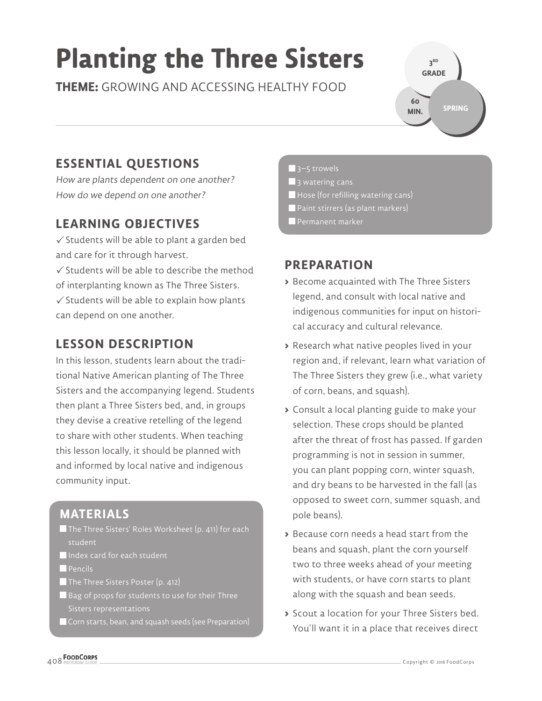## **Planting the Three Sisters**

**THEME:** GROWING AND ACCESSING HEALTHY FOOD

**3 RD GRADE SPRING 60 MIN.**

#### **ESSENTIAL QUESTIONS**

How are plants dependent on one another? How do we depend on one another?

#### **LEARNING OBJECTIVES**

 $\checkmark$  Students will be able to plant a garden bed and care for it through harvest.

 $\checkmark$  Students will be able to describe the method of interplanting known as The Three Sisters.  $\checkmark$  Students will be able to explain how plants can depend on one another.

#### **LESSON DESCRIPTION**

In this lesson, students learn about the traditional Native American planting of The Three Sisters and the accompanying legend. Students then plant a Three Sisters bed, and, in groups they devise a creative retelling of the legend to share with other students. When teaching this lesson locally, it should be planned with and informed by local native and indigenous community input.

#### **MATERIALS**

- The Three Sisters' Roles Worksheet (p. 411) for each student
- Index card for each student
- **Pencils**
- The Three Sisters Poster (p. 412)
- Bag of props for students to use for their Three
- Corn starts, bean, and squash seeds (see Preparation)
- $\blacksquare$  3–5 trowels  $\blacksquare$  3 watering cans
- Hose (for refilling watering cans)
- **Paint stirrers (as plant markers)**
- Permanent marker

#### **PREPARATION**

- **>** Become acquainted with The Three Sisters legend, and consult with local native and indigenous communities for input on historical accuracy and cultural relevance.
- **>** Research what native peoples lived in your region and, if relevant, learn what variation of The Three Sisters they grew (i.e., what variety of corn, beans, and squash).
- **>** Consult a local planting guide to make your selection. These crops should be planted after the threat of frost has passed. If garden programming is not in session in summer, you can plant popping corn, winter squash, and dry beans to be harvested in the fall (as opposed to sweet corn, summer squash, and pole beans).
- **>** Because corn needs a head start from the beans and squash, plant the corn yourself two to three weeks ahead of your meeting with students, or have corn starts to plant along with the squash and bean seeds.
- **>** Scout a location for your Three Sisters bed. You'll want it in a place that receives direct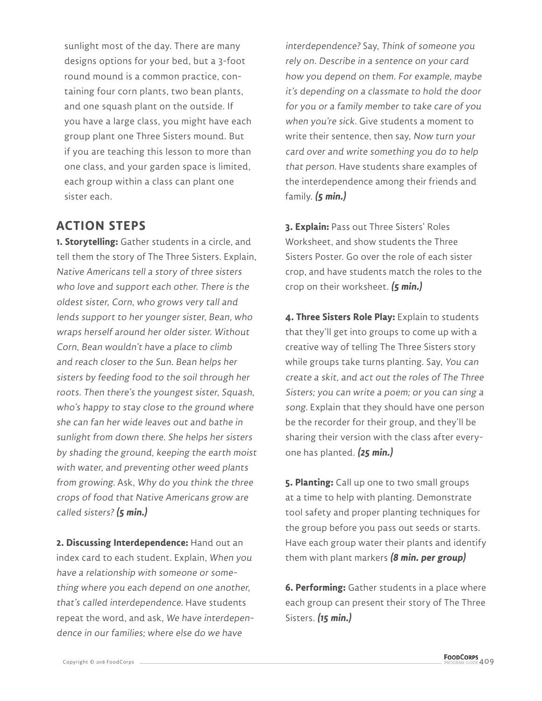sunlight most of the day. There are many designs options for your bed, but a 3-foot round mound is a common practice, containing four corn plants, two bean plants, and one squash plant on the outside. If you have a large class, you might have each group plant one Three Sisters mound. But if you are teaching this lesson to more than one class, and your garden space is limited, each group within a class can plant one sister each.

#### **ACTION STEPS**

**1. Storytelling:** Gather students in a circle, and tell them the story of The Three Sisters. Explain, Native Americans tell a story of three sisters who love and support each other. There is the oldest sister, Corn, who grows very tall and lends support to her younger sister, Bean, who wraps herself around her older sister. Without Corn, Bean wouldn't have a place to climb and reach closer to the Sun. Bean helps her sisters by feeding food to the soil through her roots. Then there's the youngest sister, Squash, who's happy to stay close to the ground where she can fan her wide leaves out and bathe in sunlight from down there. She helps her sisters by shading the ground, keeping the earth moist with water, and preventing other weed plants from growing. Ask, Why do you think the three crops of food that Native Americans grow are called sisters? **(5 min.)**

**2. Discussing Interdependence:** Hand out an index card to each student. Explain, When you have a relationship with someone or something where you each depend on one another, that's called interdependence. Have students repeat the word, and ask, We have interdependence in our families; where else do we have

interdependence? Say, Think of someone you rely on. Describe in a sentence on your card how you depend on them. For example, maybe it's depending on a classmate to hold the door for you or a family member to take care of you when you're sick. Give students a moment to write their sentence, then say, Now turn your card over and write something you do to help that person. Have students share examples of the interdependence among their friends and family. **(5 min.)**

**3. Explain:** Pass out Three Sisters' Roles Worksheet, and show students the Three Sisters Poster. Go over the role of each sister crop, and have students match the roles to the crop on their worksheet. **(5 min.)**

**4. Three Sisters Role Play:** Explain to students that they'll get into groups to come up with a creative way of telling The Three Sisters story while groups take turns planting. Say, You can create a skit, and act out the roles of The Three Sisters; you can write a poem; or you can sing a song. Explain that they should have one person be the recorder for their group, and they'll be sharing their version with the class after everyone has planted. **(25 min.)**

**5. Planting:** Call up one to two small groups at a time to help with planting. Demonstrate tool safety and proper planting techniques for the group before you pass out seeds or starts. Have each group water their plants and identify them with plant markers **(8 min. per group)**

**6. Performing:** Gather students in a place where each group can present their story of The Three Sisters. **(15 min.)**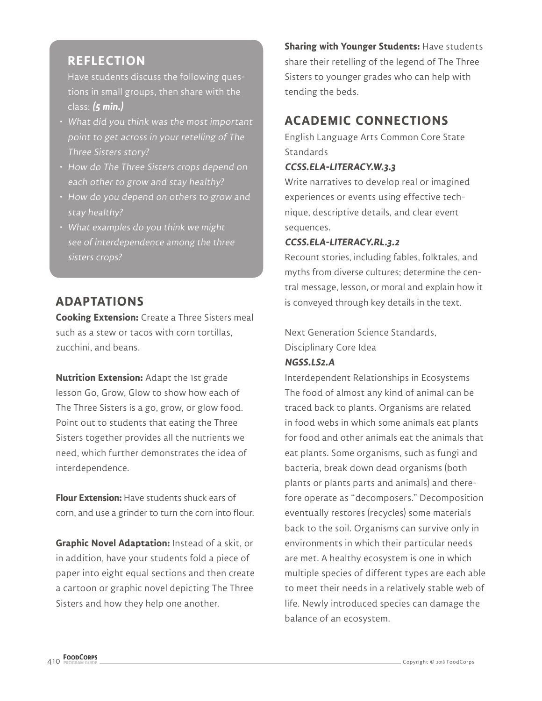#### **REFLECTION**

Have students discuss the following questions in small groups, then share with the class: **(5 min.)**

- What did you think was the most important point to get across in your retelling of The Three Sisters story?
- How do The Three Sisters crops depend on each other to grow and stay healthy?
- How do you depend on others to grow and stay healthy?
- What examples do you think we might see of interdependence among the three sisters crops?

#### **ADAPTATIONS**

**Cooking Extension:** Create a Three Sisters meal such as a stew or tacos with corn tortillas, zucchini, and beans.

**Nutrition Extension:** Adapt the 1st grade lesson Go, Grow, Glow to show how each of The Three Sisters is a go, grow, or glow food. Point out to students that eating the Three Sisters together provides all the nutrients we need, which further demonstrates the idea of interdependence.

**Flour Extension:** Have students shuck ears of corn, and use a grinder to turn the corn into flour.

**Graphic Novel Adaptation:** Instead of a skit, or in addition, have your students fold a piece of paper into eight equal sections and then create a cartoon or graphic novel depicting The Three Sisters and how they help one another.

**Sharing with Younger Students:** Have students share their retelling of the legend of The Three Sisters to younger grades who can help with tending the beds.

#### **ACADEMIC CONNECTIONS**

English Language Arts Common Core State **Standards** 

#### **CCSS.ELA-LITERACY.W.3.3**

Write narratives to develop real or imagined experiences or events using effective technique, descriptive details, and clear event sequences.

#### **CCSS.ELA-LITERACY.RL.3.2**

Recount stories, including fables, folktales, and myths from diverse cultures; determine the central message, lesson, or moral and explain how it is conveyed through key details in the text.

Next Generation Science Standards, Disciplinary Core Idea **NGSS.LS2.A**

Interdependent Relationships in Ecosystems The food of almost any kind of animal can be traced back to plants. Organisms are related in food webs in which some animals eat plants for food and other animals eat the animals that eat plants. Some organisms, such as fungi and bacteria, break down dead organisms (both plants or plants parts and animals) and therefore operate as "decomposers." Decomposition eventually restores (recycles) some materials back to the soil. Organisms can survive only in environments in which their particular needs are met. A healthy ecosystem is one in which multiple species of different types are each able to meet their needs in a relatively stable web of life. Newly introduced species can damage the balance of an ecosystem.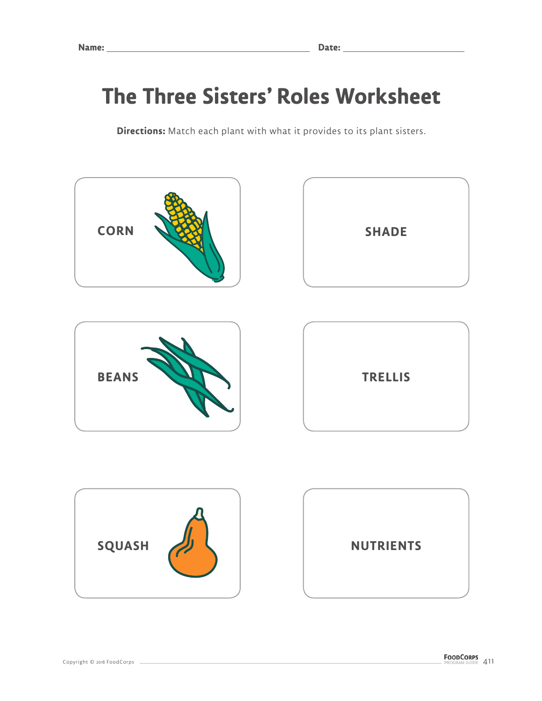### **The Three Sisters' Roles Worksheet**

**Directions:** Match each plant with what it provides to its plant sisters.